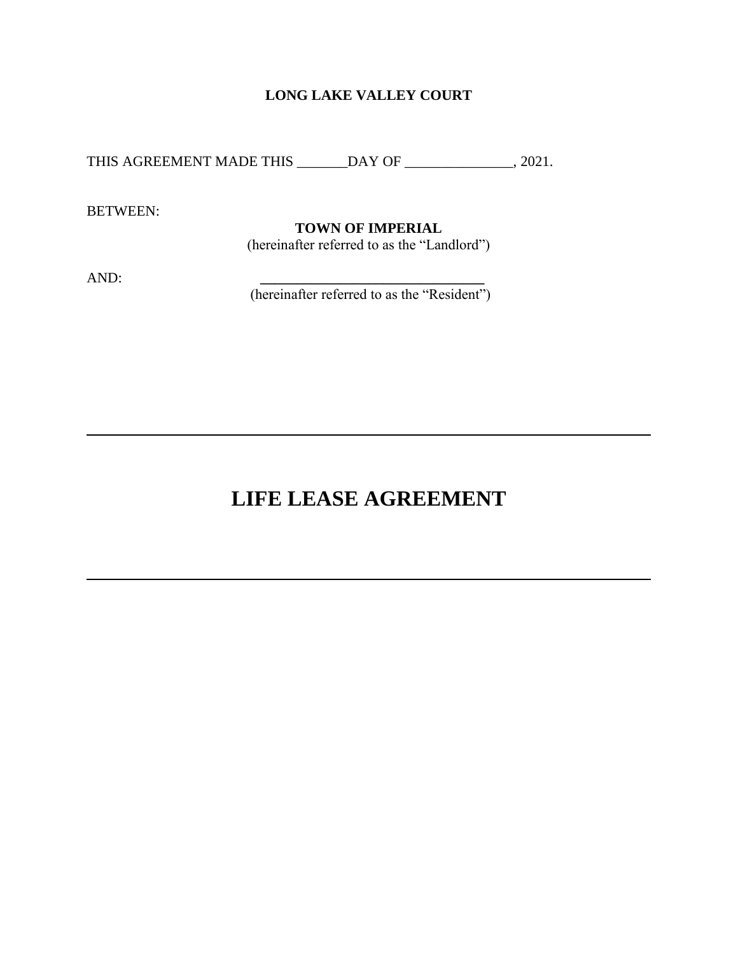# **LONG LAKE VALLEY COURT**

THIS AGREEMENT MADE THIS \_\_\_\_\_\_DAY OF \_\_\_\_\_\_\_\_\_\_\_\_\_\_, 2021.

BETWEEN:

## **TOWN OF IMPERIAL**

(hereinafter referred to as the "Landlord")

AND: **\_\_\_\_\_\_\_\_\_\_\_\_\_\_\_\_\_\_\_\_\_\_\_\_\_\_\_\_\_\_\_**

(hereinafter referred to as the "Resident")

# **LIFE LEASE AGREEMENT**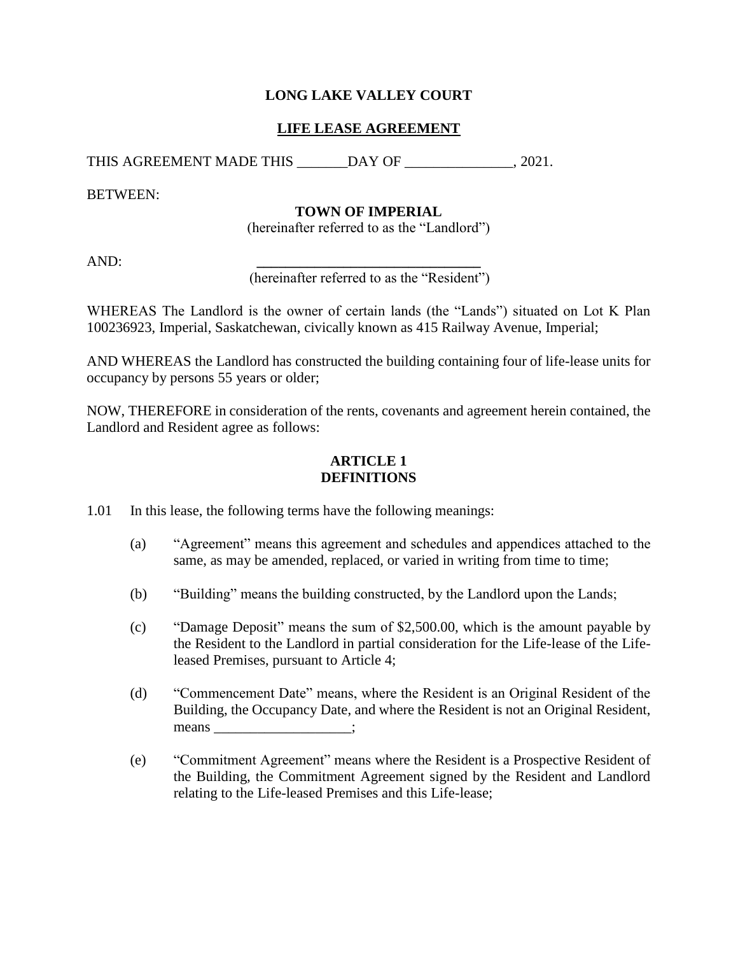# **LONG LAKE VALLEY COURT**

# **LIFE LEASE AGREEMENT**

THIS AGREEMENT MADE THIS \_\_\_\_\_\_\_DAY OF  $.2021$ .

BETWEEN:

# **TOWN OF IMPERIAL**

(hereinafter referred to as the "Landlord")

AND: **\_\_\_\_\_\_\_\_\_\_\_\_\_\_\_\_\_\_\_\_\_\_\_\_\_\_\_\_\_\_\_**

(hereinafter referred to as the "Resident")

WHEREAS The Landlord is the owner of certain lands (the "Lands") situated on Lot K Plan 100236923, Imperial, Saskatchewan, civically known as 415 Railway Avenue, Imperial;

AND WHEREAS the Landlord has constructed the building containing four of life-lease units for occupancy by persons 55 years or older;

NOW, THEREFORE in consideration of the rents, covenants and agreement herein contained, the Landlord and Resident agree as follows:

## **ARTICLE 1 DEFINITIONS**

1.01 In this lease, the following terms have the following meanings:

- (a) "Agreement" means this agreement and schedules and appendices attached to the same, as may be amended, replaced, or varied in writing from time to time;
- (b) "Building" means the building constructed, by the Landlord upon the Lands;
- (c) "Damage Deposit" means the sum of \$2,500.00, which is the amount payable by the Resident to the Landlord in partial consideration for the Life-lease of the Lifeleased Premises, pursuant to Article 4;
- (d) "Commencement Date" means, where the Resident is an Original Resident of the Building, the Occupancy Date, and where the Resident is not an Original Resident, means \_\_\_\_\_\_\_\_\_\_\_\_\_\_\_\_\_\_;
- (e) "Commitment Agreement" means where the Resident is a Prospective Resident of the Building, the Commitment Agreement signed by the Resident and Landlord relating to the Life-leased Premises and this Life-lease;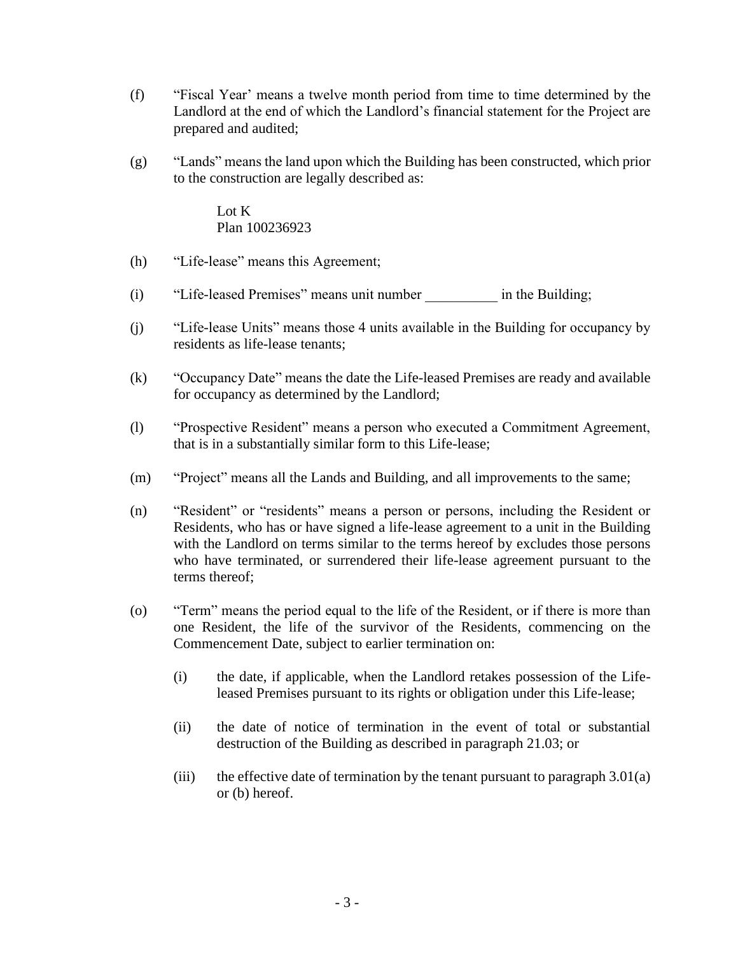- (f) "Fiscal Year' means a twelve month period from time to time determined by the Landlord at the end of which the Landlord's financial statement for the Project are prepared and audited;
- (g) "Lands" means the land upon which the Building has been constructed, which prior to the construction are legally described as:

Lot K Plan 100236923

- (h) "Life-lease" means this Agreement;
- (i) "Life-leased Premises" means unit number in the Building;
- (j) "Life-lease Units" means those 4 units available in the Building for occupancy by residents as life-lease tenants;
- (k) "Occupancy Date" means the date the Life-leased Premises are ready and available for occupancy as determined by the Landlord;
- (l) "Prospective Resident" means a person who executed a Commitment Agreement, that is in a substantially similar form to this Life-lease;
- (m) "Project" means all the Lands and Building, and all improvements to the same;
- (n) "Resident" or "residents" means a person or persons, including the Resident or Residents, who has or have signed a life-lease agreement to a unit in the Building with the Landlord on terms similar to the terms hereof by excludes those persons who have terminated, or surrendered their life-lease agreement pursuant to the terms thereof;
- (o) "Term" means the period equal to the life of the Resident, or if there is more than one Resident, the life of the survivor of the Residents, commencing on the Commencement Date, subject to earlier termination on:
	- (i) the date, if applicable, when the Landlord retakes possession of the Lifeleased Premises pursuant to its rights or obligation under this Life-lease;
	- (ii) the date of notice of termination in the event of total or substantial destruction of the Building as described in paragraph 21.03; or
	- (iii) the effective date of termination by the tenant pursuant to paragraph  $3.01(a)$ or (b) hereof.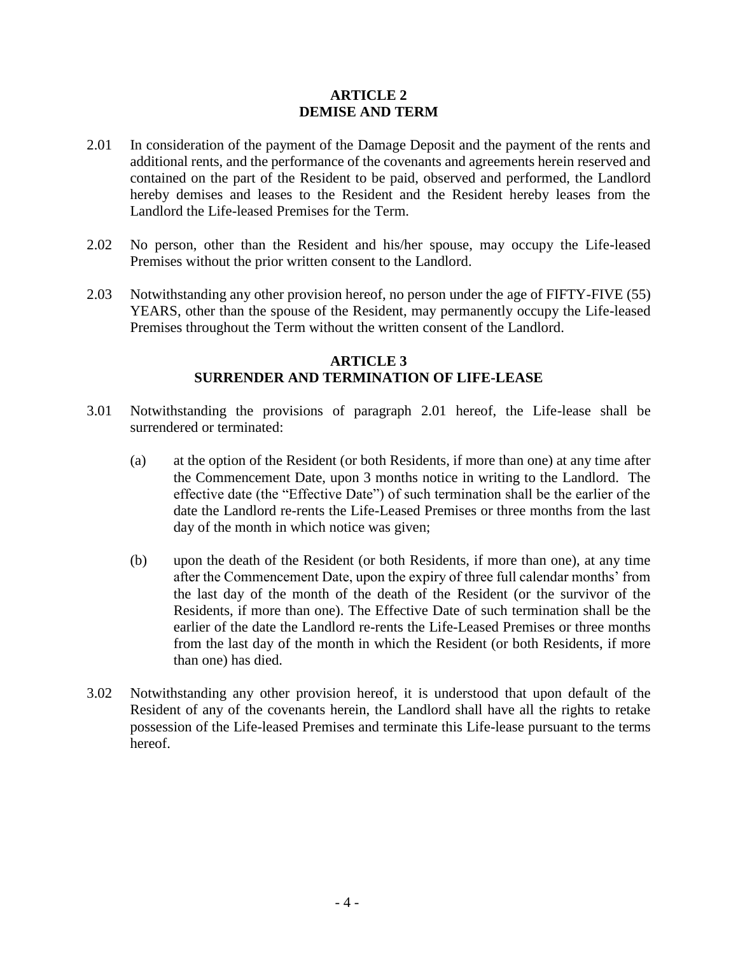#### **ARTICLE 2 DEMISE AND TERM**

- 2.01 In consideration of the payment of the Damage Deposit and the payment of the rents and additional rents, and the performance of the covenants and agreements herein reserved and contained on the part of the Resident to be paid, observed and performed, the Landlord hereby demises and leases to the Resident and the Resident hereby leases from the Landlord the Life-leased Premises for the Term.
- 2.02 No person, other than the Resident and his/her spouse, may occupy the Life-leased Premises without the prior written consent to the Landlord.
- 2.03 Notwithstanding any other provision hereof, no person under the age of FIFTY-FIVE (55) YEARS, other than the spouse of the Resident, may permanently occupy the Life-leased Premises throughout the Term without the written consent of the Landlord.

## **ARTICLE 3 SURRENDER AND TERMINATION OF LIFE-LEASE**

- 3.01 Notwithstanding the provisions of paragraph 2.01 hereof, the Life-lease shall be surrendered or terminated:
	- (a) at the option of the Resident (or both Residents, if more than one) at any time after the Commencement Date, upon 3 months notice in writing to the Landlord. The effective date (the "Effective Date") of such termination shall be the earlier of the date the Landlord re-rents the Life-Leased Premises or three months from the last day of the month in which notice was given;
	- (b) upon the death of the Resident (or both Residents, if more than one), at any time after the Commencement Date, upon the expiry of three full calendar months' from the last day of the month of the death of the Resident (or the survivor of the Residents, if more than one). The Effective Date of such termination shall be the earlier of the date the Landlord re-rents the Life-Leased Premises or three months from the last day of the month in which the Resident (or both Residents, if more than one) has died.
- 3.02 Notwithstanding any other provision hereof, it is understood that upon default of the Resident of any of the covenants herein, the Landlord shall have all the rights to retake possession of the Life-leased Premises and terminate this Life-lease pursuant to the terms hereof.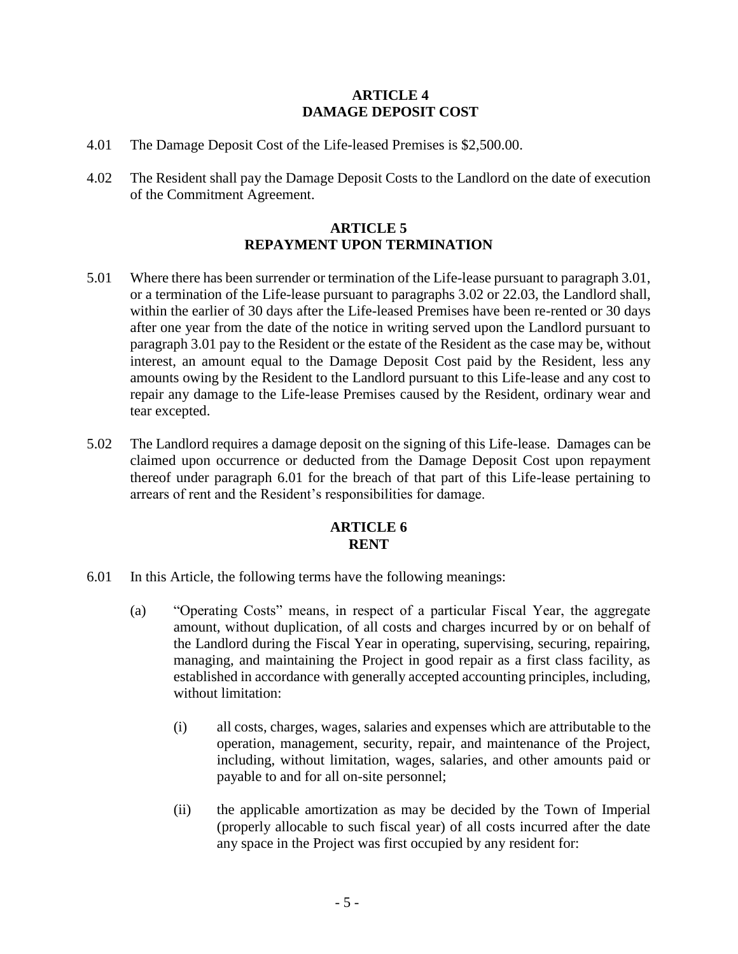## **ARTICLE 4 DAMAGE DEPOSIT COST**

- 4.01 The Damage Deposit Cost of the Life-leased Premises is \$2,500.00.
- 4.02 The Resident shall pay the Damage Deposit Costs to the Landlord on the date of execution of the Commitment Agreement.

## **ARTICLE 5 REPAYMENT UPON TERMINATION**

- 5.01 Where there has been surrender or termination of the Life-lease pursuant to paragraph 3.01, or a termination of the Life-lease pursuant to paragraphs 3.02 or 22.03, the Landlord shall, within the earlier of 30 days after the Life-leased Premises have been re-rented or 30 days after one year from the date of the notice in writing served upon the Landlord pursuant to paragraph 3.01 pay to the Resident or the estate of the Resident as the case may be, without interest, an amount equal to the Damage Deposit Cost paid by the Resident, less any amounts owing by the Resident to the Landlord pursuant to this Life-lease and any cost to repair any damage to the Life-lease Premises caused by the Resident, ordinary wear and tear excepted.
- 5.02 The Landlord requires a damage deposit on the signing of this Life-lease. Damages can be claimed upon occurrence or deducted from the Damage Deposit Cost upon repayment thereof under paragraph 6.01 for the breach of that part of this Life-lease pertaining to arrears of rent and the Resident's responsibilities for damage.

## **ARTICLE 6 RENT**

- 6.01 In this Article, the following terms have the following meanings:
	- (a) "Operating Costs" means, in respect of a particular Fiscal Year, the aggregate amount, without duplication, of all costs and charges incurred by or on behalf of the Landlord during the Fiscal Year in operating, supervising, securing, repairing, managing, and maintaining the Project in good repair as a first class facility, as established in accordance with generally accepted accounting principles, including, without limitation:
		- (i) all costs, charges, wages, salaries and expenses which are attributable to the operation, management, security, repair, and maintenance of the Project, including, without limitation, wages, salaries, and other amounts paid or payable to and for all on-site personnel;
		- (ii) the applicable amortization as may be decided by the Town of Imperial (properly allocable to such fiscal year) of all costs incurred after the date any space in the Project was first occupied by any resident for: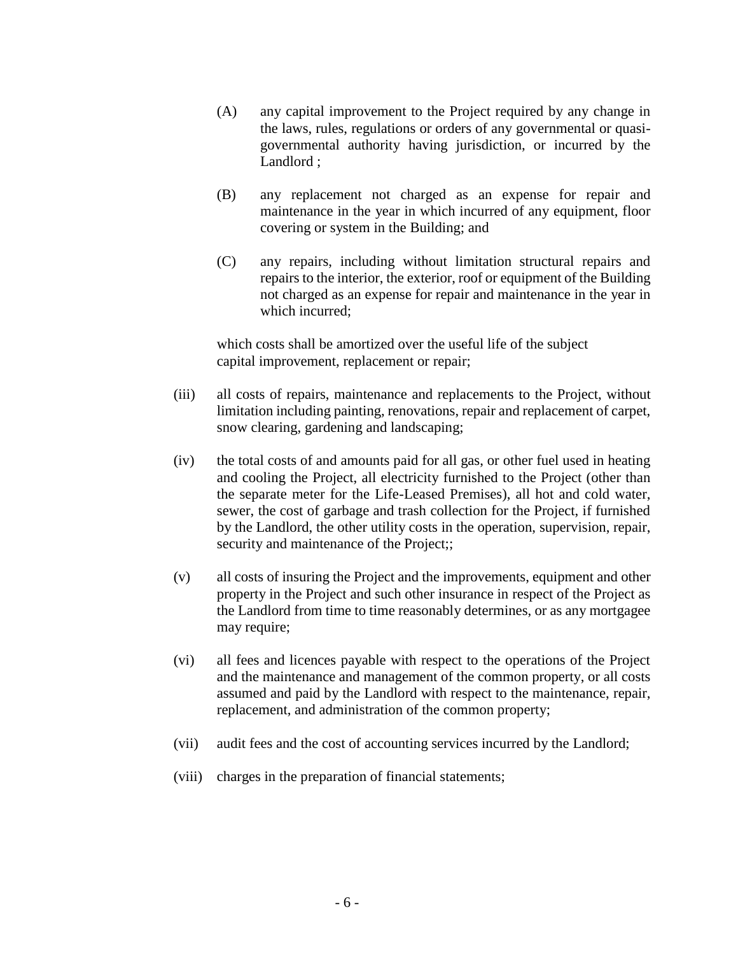- (A) any capital improvement to the Project required by any change in the laws, rules, regulations or orders of any governmental or quasigovernmental authority having jurisdiction, or incurred by the Landlord ;
- (B) any replacement not charged as an expense for repair and maintenance in the year in which incurred of any equipment, floor covering or system in the Building; and
- (C) any repairs, including without limitation structural repairs and repairs to the interior, the exterior, roof or equipment of the Building not charged as an expense for repair and maintenance in the year in which incurred;

which costs shall be amortized over the useful life of the subject capital improvement, replacement or repair;

- (iii) all costs of repairs, maintenance and replacements to the Project, without limitation including painting, renovations, repair and replacement of carpet, snow clearing, gardening and landscaping;
- (iv) the total costs of and amounts paid for all gas, or other fuel used in heating and cooling the Project, all electricity furnished to the Project (other than the separate meter for the Life-Leased Premises), all hot and cold water, sewer, the cost of garbage and trash collection for the Project, if furnished by the Landlord, the other utility costs in the operation, supervision, repair, security and maintenance of the Project;;
- (v) all costs of insuring the Project and the improvements, equipment and other property in the Project and such other insurance in respect of the Project as the Landlord from time to time reasonably determines, or as any mortgagee may require;
- (vi) all fees and licences payable with respect to the operations of the Project and the maintenance and management of the common property, or all costs assumed and paid by the Landlord with respect to the maintenance, repair, replacement, and administration of the common property;
- (vii) audit fees and the cost of accounting services incurred by the Landlord;
- (viii) charges in the preparation of financial statements;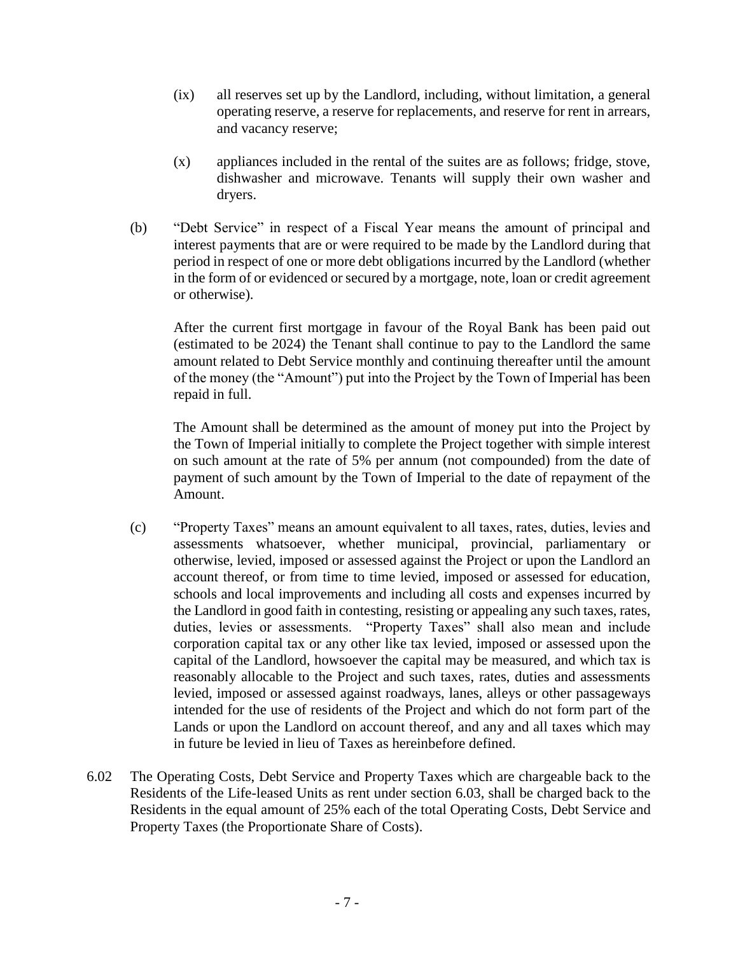- (ix) all reserves set up by the Landlord, including, without limitation, a general operating reserve, a reserve for replacements, and reserve for rent in arrears, and vacancy reserve;
- (x) appliances included in the rental of the suites are as follows; fridge, stove, dishwasher and microwave. Tenants will supply their own washer and dryers.
- (b) "Debt Service" in respect of a Fiscal Year means the amount of principal and interest payments that are or were required to be made by the Landlord during that period in respect of one or more debt obligations incurred by the Landlord (whether in the form of or evidenced or secured by a mortgage, note, loan or credit agreement or otherwise).

After the current first mortgage in favour of the Royal Bank has been paid out (estimated to be 2024) the Tenant shall continue to pay to the Landlord the same amount related to Debt Service monthly and continuing thereafter until the amount of the money (the "Amount") put into the Project by the Town of Imperial has been repaid in full.

The Amount shall be determined as the amount of money put into the Project by the Town of Imperial initially to complete the Project together with simple interest on such amount at the rate of 5% per annum (not compounded) from the date of payment of such amount by the Town of Imperial to the date of repayment of the Amount.

- (c) "Property Taxes" means an amount equivalent to all taxes, rates, duties, levies and assessments whatsoever, whether municipal, provincial, parliamentary or otherwise, levied, imposed or assessed against the Project or upon the Landlord an account thereof, or from time to time levied, imposed or assessed for education, schools and local improvements and including all costs and expenses incurred by the Landlord in good faith in contesting, resisting or appealing any such taxes, rates, duties, levies or assessments. "Property Taxes" shall also mean and include corporation capital tax or any other like tax levied, imposed or assessed upon the capital of the Landlord, howsoever the capital may be measured, and which tax is reasonably allocable to the Project and such taxes, rates, duties and assessments levied, imposed or assessed against roadways, lanes, alleys or other passageways intended for the use of residents of the Project and which do not form part of the Lands or upon the Landlord on account thereof, and any and all taxes which may in future be levied in lieu of Taxes as hereinbefore defined.
- 6.02 The Operating Costs, Debt Service and Property Taxes which are chargeable back to the Residents of the Life-leased Units as rent under section 6.03, shall be charged back to the Residents in the equal amount of 25% each of the total Operating Costs, Debt Service and Property Taxes (the Proportionate Share of Costs).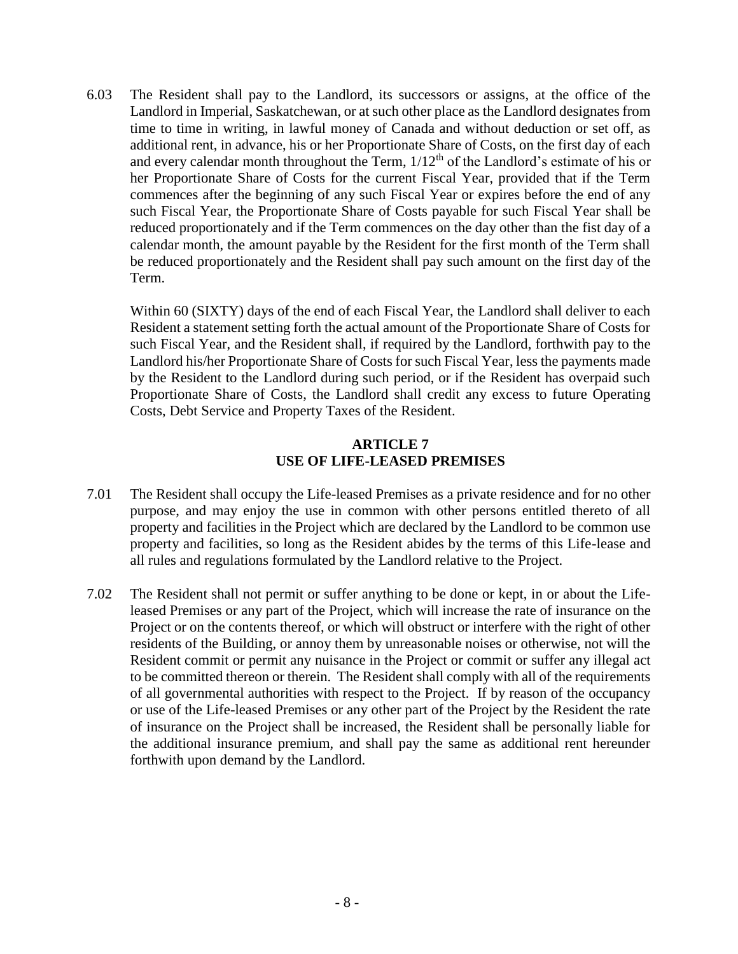6.03 The Resident shall pay to the Landlord, its successors or assigns, at the office of the Landlord in Imperial, Saskatchewan, or at such other place as the Landlord designates from time to time in writing, in lawful money of Canada and without deduction or set off, as additional rent, in advance, his or her Proportionate Share of Costs, on the first day of each and every calendar month throughout the Term,  $1/12<sup>th</sup>$  of the Landlord's estimate of his or her Proportionate Share of Costs for the current Fiscal Year, provided that if the Term commences after the beginning of any such Fiscal Year or expires before the end of any such Fiscal Year, the Proportionate Share of Costs payable for such Fiscal Year shall be reduced proportionately and if the Term commences on the day other than the fist day of a calendar month, the amount payable by the Resident for the first month of the Term shall be reduced proportionately and the Resident shall pay such amount on the first day of the Term.

Within 60 (SIXTY) days of the end of each Fiscal Year, the Landlord shall deliver to each Resident a statement setting forth the actual amount of the Proportionate Share of Costs for such Fiscal Year, and the Resident shall, if required by the Landlord, forthwith pay to the Landlord his/her Proportionate Share of Costs for such Fiscal Year, less the payments made by the Resident to the Landlord during such period, or if the Resident has overpaid such Proportionate Share of Costs, the Landlord shall credit any excess to future Operating Costs, Debt Service and Property Taxes of the Resident.

# **ARTICLE 7 USE OF LIFE-LEASED PREMISES**

- 7.01 The Resident shall occupy the Life-leased Premises as a private residence and for no other purpose, and may enjoy the use in common with other persons entitled thereto of all property and facilities in the Project which are declared by the Landlord to be common use property and facilities, so long as the Resident abides by the terms of this Life-lease and all rules and regulations formulated by the Landlord relative to the Project.
- 7.02 The Resident shall not permit or suffer anything to be done or kept, in or about the Lifeleased Premises or any part of the Project, which will increase the rate of insurance on the Project or on the contents thereof, or which will obstruct or interfere with the right of other residents of the Building, or annoy them by unreasonable noises or otherwise, not will the Resident commit or permit any nuisance in the Project or commit or suffer any illegal act to be committed thereon or therein. The Resident shall comply with all of the requirements of all governmental authorities with respect to the Project. If by reason of the occupancy or use of the Life-leased Premises or any other part of the Project by the Resident the rate of insurance on the Project shall be increased, the Resident shall be personally liable for the additional insurance premium, and shall pay the same as additional rent hereunder forthwith upon demand by the Landlord.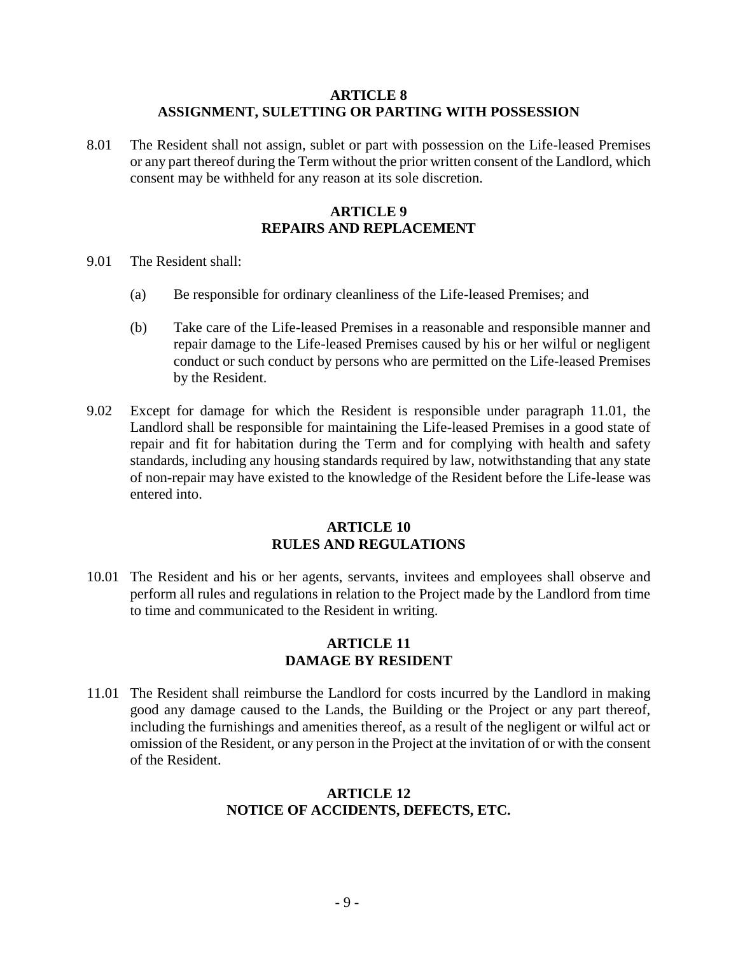#### **ARTICLE 8 ASSIGNMENT, SULETTING OR PARTING WITH POSSESSION**

8.01 The Resident shall not assign, sublet or part with possession on the Life-leased Premises or any part thereof during the Term without the prior written consent of the Landlord, which consent may be withheld for any reason at its sole discretion.

## **ARTICLE 9 REPAIRS AND REPLACEMENT**

- 9.01 The Resident shall:
	- (a) Be responsible for ordinary cleanliness of the Life-leased Premises; and
	- (b) Take care of the Life-leased Premises in a reasonable and responsible manner and repair damage to the Life-leased Premises caused by his or her wilful or negligent conduct or such conduct by persons who are permitted on the Life-leased Premises by the Resident.
- 9.02 Except for damage for which the Resident is responsible under paragraph 11.01, the Landlord shall be responsible for maintaining the Life-leased Premises in a good state of repair and fit for habitation during the Term and for complying with health and safety standards, including any housing standards required by law, notwithstanding that any state of non-repair may have existed to the knowledge of the Resident before the Life-lease was entered into.

#### **ARTICLE 10 RULES AND REGULATIONS**

10.01 The Resident and his or her agents, servants, invitees and employees shall observe and perform all rules and regulations in relation to the Project made by the Landlord from time to time and communicated to the Resident in writing.

#### **ARTICLE 11 DAMAGE BY RESIDENT**

11.01 The Resident shall reimburse the Landlord for costs incurred by the Landlord in making good any damage caused to the Lands, the Building or the Project or any part thereof, including the furnishings and amenities thereof, as a result of the negligent or wilful act or omission of the Resident, or any person in the Project at the invitation of or with the consent of the Resident.

#### **ARTICLE 12 NOTICE OF ACCIDENTS, DEFECTS, ETC.**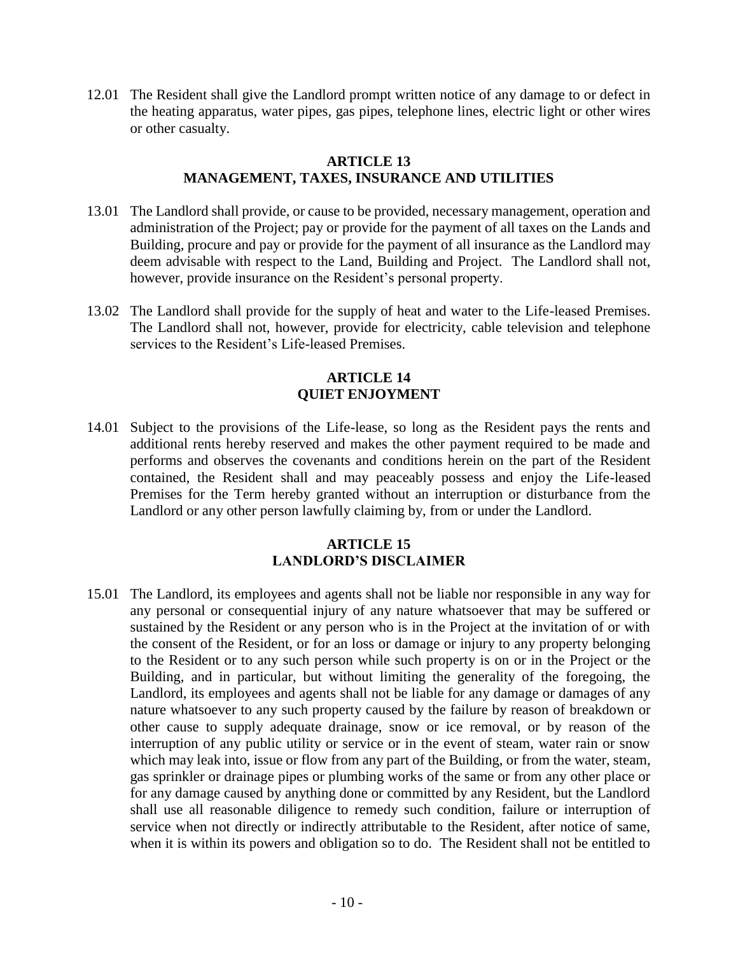12.01 The Resident shall give the Landlord prompt written notice of any damage to or defect in the heating apparatus, water pipes, gas pipes, telephone lines, electric light or other wires or other casualty.

## **ARTICLE 13 MANAGEMENT, TAXES, INSURANCE AND UTILITIES**

- 13.01 The Landlord shall provide, or cause to be provided, necessary management, operation and administration of the Project; pay or provide for the payment of all taxes on the Lands and Building, procure and pay or provide for the payment of all insurance as the Landlord may deem advisable with respect to the Land, Building and Project. The Landlord shall not, however, provide insurance on the Resident's personal property.
- 13.02 The Landlord shall provide for the supply of heat and water to the Life-leased Premises. The Landlord shall not, however, provide for electricity, cable television and telephone services to the Resident's Life-leased Premises.

## **ARTICLE 14 QUIET ENJOYMENT**

14.01 Subject to the provisions of the Life-lease, so long as the Resident pays the rents and additional rents hereby reserved and makes the other payment required to be made and performs and observes the covenants and conditions herein on the part of the Resident contained, the Resident shall and may peaceably possess and enjoy the Life-leased Premises for the Term hereby granted without an interruption or disturbance from the Landlord or any other person lawfully claiming by, from or under the Landlord.

#### **ARTICLE 15 LANDLORD'S DISCLAIMER**

15.01 The Landlord, its employees and agents shall not be liable nor responsible in any way for any personal or consequential injury of any nature whatsoever that may be suffered or sustained by the Resident or any person who is in the Project at the invitation of or with the consent of the Resident, or for an loss or damage or injury to any property belonging to the Resident or to any such person while such property is on or in the Project or the Building, and in particular, but without limiting the generality of the foregoing, the Landlord, its employees and agents shall not be liable for any damage or damages of any nature whatsoever to any such property caused by the failure by reason of breakdown or other cause to supply adequate drainage, snow or ice removal, or by reason of the interruption of any public utility or service or in the event of steam, water rain or snow which may leak into, issue or flow from any part of the Building, or from the water, steam, gas sprinkler or drainage pipes or plumbing works of the same or from any other place or for any damage caused by anything done or committed by any Resident, but the Landlord shall use all reasonable diligence to remedy such condition, failure or interruption of service when not directly or indirectly attributable to the Resident, after notice of same, when it is within its powers and obligation so to do. The Resident shall not be entitled to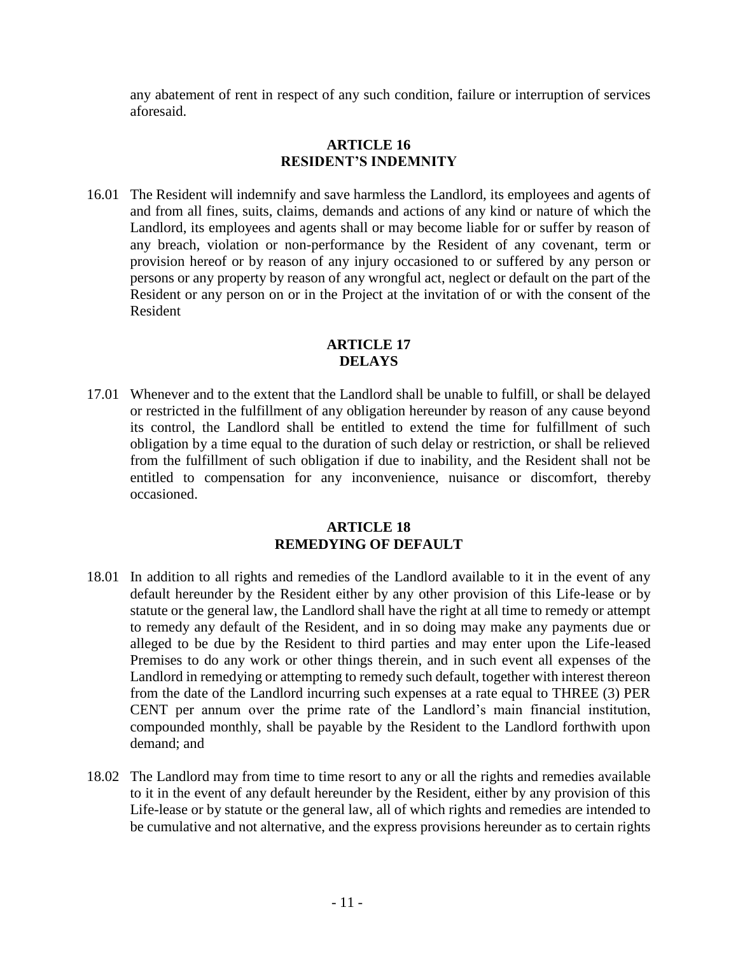any abatement of rent in respect of any such condition, failure or interruption of services aforesaid.

#### **ARTICLE 16 RESIDENT'S INDEMNITY**

16.01 The Resident will indemnify and save harmless the Landlord, its employees and agents of and from all fines, suits, claims, demands and actions of any kind or nature of which the Landlord, its employees and agents shall or may become liable for or suffer by reason of any breach, violation or non-performance by the Resident of any covenant, term or provision hereof or by reason of any injury occasioned to or suffered by any person or persons or any property by reason of any wrongful act, neglect or default on the part of the Resident or any person on or in the Project at the invitation of or with the consent of the Resident

## **ARTICLE 17 DELAYS**

17.01 Whenever and to the extent that the Landlord shall be unable to fulfill, or shall be delayed or restricted in the fulfillment of any obligation hereunder by reason of any cause beyond its control, the Landlord shall be entitled to extend the time for fulfillment of such obligation by a time equal to the duration of such delay or restriction, or shall be relieved from the fulfillment of such obligation if due to inability, and the Resident shall not be entitled to compensation for any inconvenience, nuisance or discomfort, thereby occasioned.

## **ARTICLE 18 REMEDYING OF DEFAULT**

- 18.01 In addition to all rights and remedies of the Landlord available to it in the event of any default hereunder by the Resident either by any other provision of this Life-lease or by statute or the general law, the Landlord shall have the right at all time to remedy or attempt to remedy any default of the Resident, and in so doing may make any payments due or alleged to be due by the Resident to third parties and may enter upon the Life-leased Premises to do any work or other things therein, and in such event all expenses of the Landlord in remedying or attempting to remedy such default, together with interest thereon from the date of the Landlord incurring such expenses at a rate equal to THREE (3) PER CENT per annum over the prime rate of the Landlord's main financial institution, compounded monthly, shall be payable by the Resident to the Landlord forthwith upon demand; and
- 18.02 The Landlord may from time to time resort to any or all the rights and remedies available to it in the event of any default hereunder by the Resident, either by any provision of this Life-lease or by statute or the general law, all of which rights and remedies are intended to be cumulative and not alternative, and the express provisions hereunder as to certain rights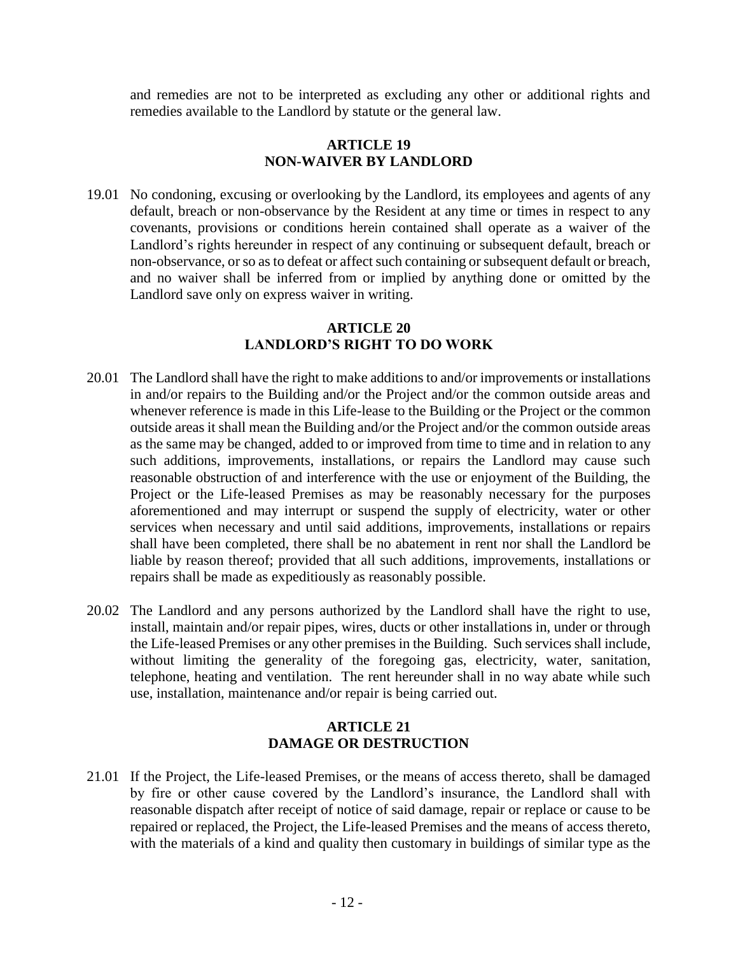and remedies are not to be interpreted as excluding any other or additional rights and remedies available to the Landlord by statute or the general law.

## **ARTICLE 19 NON-WAIVER BY LANDLORD**

19.01 No condoning, excusing or overlooking by the Landlord, its employees and agents of any default, breach or non-observance by the Resident at any time or times in respect to any covenants, provisions or conditions herein contained shall operate as a waiver of the Landlord's rights hereunder in respect of any continuing or subsequent default, breach or non-observance, or so as to defeat or affect such containing or subsequent default or breach, and no waiver shall be inferred from or implied by anything done or omitted by the Landlord save only on express waiver in writing.

## **ARTICLE 20 LANDLORD'S RIGHT TO DO WORK**

- 20.01 The Landlord shall have the right to make additions to and/or improvements or installations in and/or repairs to the Building and/or the Project and/or the common outside areas and whenever reference is made in this Life-lease to the Building or the Project or the common outside areas it shall mean the Building and/or the Project and/or the common outside areas as the same may be changed, added to or improved from time to time and in relation to any such additions, improvements, installations, or repairs the Landlord may cause such reasonable obstruction of and interference with the use or enjoyment of the Building, the Project or the Life-leased Premises as may be reasonably necessary for the purposes aforementioned and may interrupt or suspend the supply of electricity, water or other services when necessary and until said additions, improvements, installations or repairs shall have been completed, there shall be no abatement in rent nor shall the Landlord be liable by reason thereof; provided that all such additions, improvements, installations or repairs shall be made as expeditiously as reasonably possible.
- 20.02 The Landlord and any persons authorized by the Landlord shall have the right to use, install, maintain and/or repair pipes, wires, ducts or other installations in, under or through the Life-leased Premises or any other premises in the Building. Such services shall include, without limiting the generality of the foregoing gas, electricity, water, sanitation, telephone, heating and ventilation. The rent hereunder shall in no way abate while such use, installation, maintenance and/or repair is being carried out.

## **ARTICLE 21 DAMAGE OR DESTRUCTION**

21.01 If the Project, the Life-leased Premises, or the means of access thereto, shall be damaged by fire or other cause covered by the Landlord's insurance, the Landlord shall with reasonable dispatch after receipt of notice of said damage, repair or replace or cause to be repaired or replaced, the Project, the Life-leased Premises and the means of access thereto, with the materials of a kind and quality then customary in buildings of similar type as the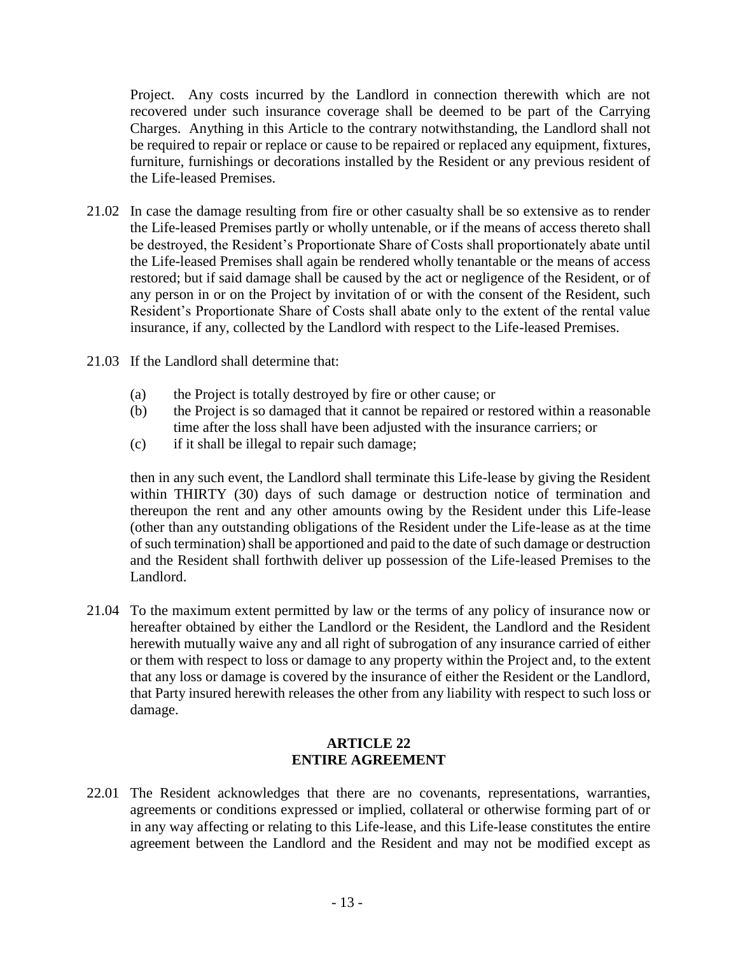Project. Any costs incurred by the Landlord in connection therewith which are not recovered under such insurance coverage shall be deemed to be part of the Carrying Charges. Anything in this Article to the contrary notwithstanding, the Landlord shall not be required to repair or replace or cause to be repaired or replaced any equipment, fixtures, furniture, furnishings or decorations installed by the Resident or any previous resident of the Life-leased Premises.

- 21.02 In case the damage resulting from fire or other casualty shall be so extensive as to render the Life-leased Premises partly or wholly untenable, or if the means of access thereto shall be destroyed, the Resident's Proportionate Share of Costs shall proportionately abate until the Life-leased Premises shall again be rendered wholly tenantable or the means of access restored; but if said damage shall be caused by the act or negligence of the Resident, or of any person in or on the Project by invitation of or with the consent of the Resident, such Resident's Proportionate Share of Costs shall abate only to the extent of the rental value insurance, if any, collected by the Landlord with respect to the Life-leased Premises.
- 21.03 If the Landlord shall determine that:
	- (a) the Project is totally destroyed by fire or other cause; or
	- (b) the Project is so damaged that it cannot be repaired or restored within a reasonable time after the loss shall have been adjusted with the insurance carriers; or
	- (c) if it shall be illegal to repair such damage;

then in any such event, the Landlord shall terminate this Life-lease by giving the Resident within THIRTY (30) days of such damage or destruction notice of termination and thereupon the rent and any other amounts owing by the Resident under this Life-lease (other than any outstanding obligations of the Resident under the Life-lease as at the time of such termination) shall be apportioned and paid to the date of such damage or destruction and the Resident shall forthwith deliver up possession of the Life-leased Premises to the Landlord.

21.04 To the maximum extent permitted by law or the terms of any policy of insurance now or hereafter obtained by either the Landlord or the Resident, the Landlord and the Resident herewith mutually waive any and all right of subrogation of any insurance carried of either or them with respect to loss or damage to any property within the Project and, to the extent that any loss or damage is covered by the insurance of either the Resident or the Landlord, that Party insured herewith releases the other from any liability with respect to such loss or damage.

## **ARTICLE 22 ENTIRE AGREEMENT**

22.01 The Resident acknowledges that there are no covenants, representations, warranties, agreements or conditions expressed or implied, collateral or otherwise forming part of or in any way affecting or relating to this Life-lease, and this Life-lease constitutes the entire agreement between the Landlord and the Resident and may not be modified except as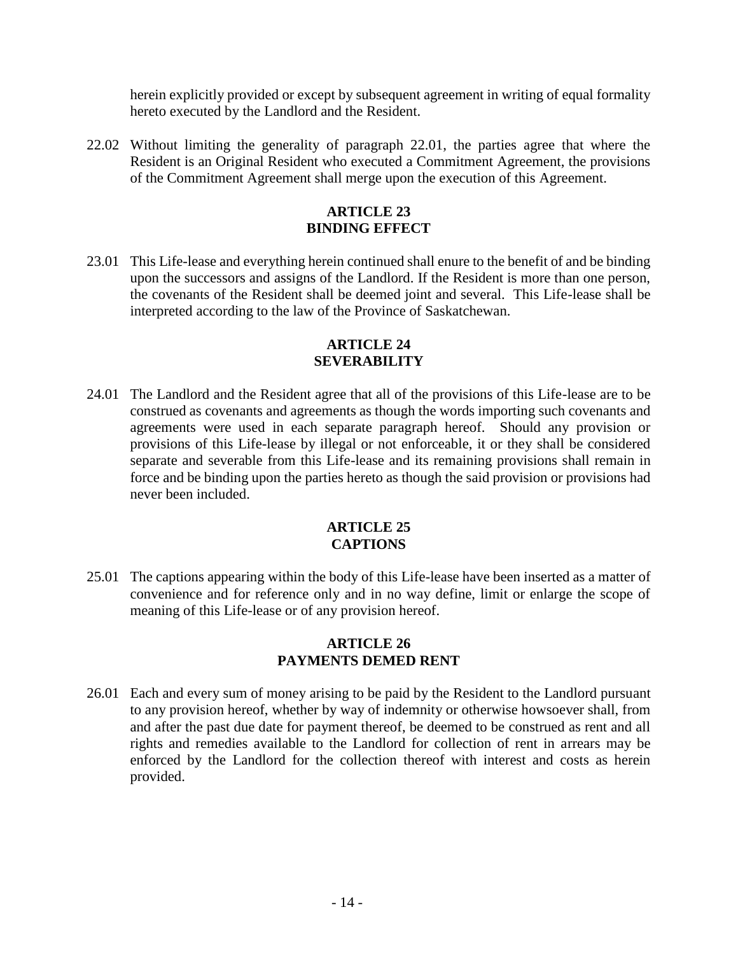herein explicitly provided or except by subsequent agreement in writing of equal formality hereto executed by the Landlord and the Resident.

22.02 Without limiting the generality of paragraph 22.01, the parties agree that where the Resident is an Original Resident who executed a Commitment Agreement, the provisions of the Commitment Agreement shall merge upon the execution of this Agreement.

## **ARTICLE 23 BINDING EFFECT**

23.01 This Life-lease and everything herein continued shall enure to the benefit of and be binding upon the successors and assigns of the Landlord. If the Resident is more than one person, the covenants of the Resident shall be deemed joint and several. This Life-lease shall be interpreted according to the law of the Province of Saskatchewan.

## **ARTICLE 24 SEVERABILITY**

24.01 The Landlord and the Resident agree that all of the provisions of this Life-lease are to be construed as covenants and agreements as though the words importing such covenants and agreements were used in each separate paragraph hereof. Should any provision or provisions of this Life-lease by illegal or not enforceable, it or they shall be considered separate and severable from this Life-lease and its remaining provisions shall remain in force and be binding upon the parties hereto as though the said provision or provisions had never been included.

## **ARTICLE 25 CAPTIONS**

25.01 The captions appearing within the body of this Life-lease have been inserted as a matter of convenience and for reference only and in no way define, limit or enlarge the scope of meaning of this Life-lease or of any provision hereof.

## **ARTICLE 26 PAYMENTS DEMED RENT**

26.01 Each and every sum of money arising to be paid by the Resident to the Landlord pursuant to any provision hereof, whether by way of indemnity or otherwise howsoever shall, from and after the past due date for payment thereof, be deemed to be construed as rent and all rights and remedies available to the Landlord for collection of rent in arrears may be enforced by the Landlord for the collection thereof with interest and costs as herein provided.